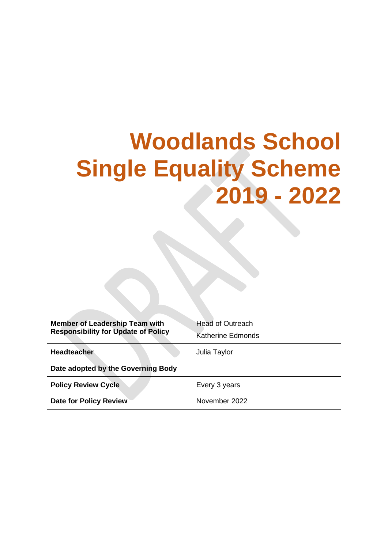# **Woodlands School Single Equality Scheme 2019 - 2022**

| <b>Member of Leadership Team with</b><br><b>Responsibility for Update of Policy</b> | <b>Head of Outreach</b>  |
|-------------------------------------------------------------------------------------|--------------------------|
|                                                                                     | <b>Katherine Edmonds</b> |
| <b>Headteacher</b>                                                                  | Julia Taylor             |
| Date adopted by the Governing Body                                                  |                          |
| <b>Policy Review Cycle</b>                                                          | Every 3 years            |
| <b>Date for Policy Review</b>                                                       | November 2022            |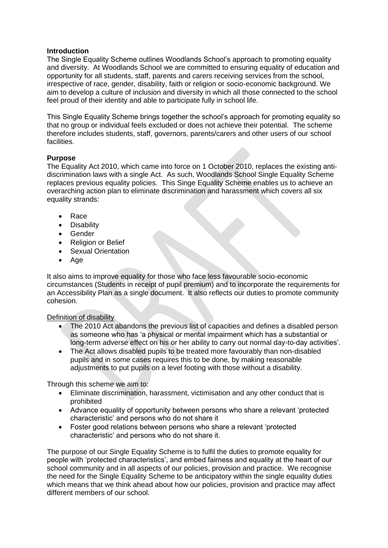#### **Introduction**

The Single Equality Scheme outlines Woodlands School's approach to promoting equality and diversity. At Woodlands School we are committed to ensuring equality of education and opportunity for all students, staff, parents and carers receiving services from the school, irrespective of race, gender, disability, faith or religion or socio-economic background. We aim to develop a culture of inclusion and diversity in which all those connected to the school feel proud of their identity and able to participate fully in school life.

This Single Equality Scheme brings together the school's approach for promoting equality so that no group or individual feels excluded or does not achieve their potential. The scheme therefore includes students, staff, governors, parents/carers and other users of our school facilities.

#### **Purpose**

The Equality Act 2010, which came into force on 1 October 2010, replaces the existing antidiscrimination laws with a single Act. As such, Woodlands School Single Equality Scheme replaces previous equality policies. This Singe Equality Scheme enables us to achieve an overarching action plan to eliminate discrimination and harassment which covers all six equality strands:

- Race
- Disability
- **Gender**
- Religion or Belief
- Sexual Orientation
- Age

It also aims to improve equality for those who face less favourable socio-economic circumstances (Students in receipt of pupil premium) and to incorporate the requirements for an Accessibility Plan as a single document. It also reflects our duties to promote community cohesion.

#### Definition of disability

- The 2010 Act abandons the previous list of capacities and defines a disabled person as someone who has 'a physical or mental impairment which has a substantial or long-term adverse effect on his or her ability to carry out normal day-to-day activities'.
- The Act allows disabled pupils to be treated more favourably than non-disabled pupils and in some cases requires this to be done, by making reasonable adjustments to put pupils on a level footing with those without a disability.

Through this scheme we aim to:

- Eliminate discrimination, harassment, victimisation and any other conduct that is prohibited
- Advance equality of opportunity between persons who share a relevant 'protected characteristic' and persons who do not share it
- Foster good relations between persons who share a relevant 'protected characteristic' and persons who do not share it.

The purpose of our Single Equality Scheme is to fulfil the duties to promote equality for people with 'protected characteristics', and embed fairness and equality at the heart of our school community and in all aspects of our policies, provision and practice. We recognise the need for the Single Equality Scheme to be anticipatory within the single equality duties which means that we think ahead about how our policies, provision and practice may affect different members of our school.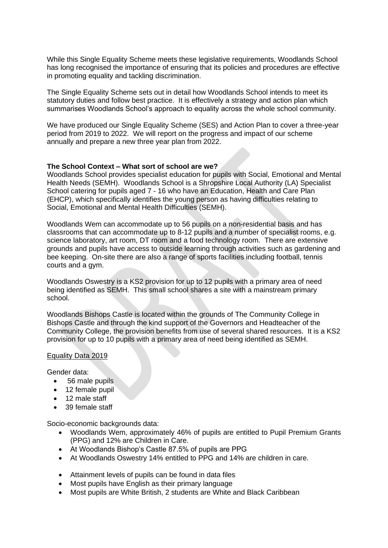While this Single Equality Scheme meets these legislative requirements, Woodlands School has long recognised the importance of ensuring that its policies and procedures are effective in promoting equality and tackling discrimination.

The Single Equality Scheme sets out in detail how Woodlands School intends to meet its statutory duties and follow best practice. It is effectively a strategy and action plan which summarises Woodlands School's approach to equality across the whole school community.

We have produced our Single Equality Scheme (SES) and Action Plan to cover a three-year period from 2019 to 2022. We will report on the progress and impact of our scheme annually and prepare a new three year plan from 2022.

#### **The School Context – What sort of school are we?**

Woodlands School provides specialist education for pupils with Social, Emotional and Mental Health Needs (SEMH). Woodlands School is a Shropshire Local Authority (LA) Specialist School catering for pupils aged 7 - 16 who have an Education, Health and Care Plan (EHCP), which specifically identifies the young person as having difficulties relating to Social, Emotional and Mental Health Difficulties (SEMH).

Woodlands Wem can accommodate up to 56 pupils on a non-residential basis and has classrooms that can accommodate up to 8-12 pupils and a number of specialist rooms, e.g. science laboratory, art room, DT room and a food technology room. There are extensive grounds and pupils have access to outside learning through activities such as gardening and bee keeping. On-site there are also a range of sports facilities including football, tennis courts and a gym.

Woodlands Oswestry is a KS2 provision for up to 12 pupils with a primary area of need being identified as SEMH. This small school shares a site with a mainstream primary school.

Woodlands Bishops Castle is located within the grounds of The Community College in Bishops Castle and through the kind support of the Governors and Headteacher of the Community College, the provision benefits from use of several shared resources. It is a KS2 provision for up to 10 pupils with a primary area of need being identified as SEMH.

#### Equality Data 2019

Gender data:

- 56 male pupils
- 12 female pupil
- 12 male staff
- 39 female staff

Socio-economic backgrounds data:

- Woodlands Wem, approximately 46% of pupils are entitled to Pupil Premium Grants (PPG) and 12% are Children in Care.
- At Woodlands Bishop's Castle 87.5% of pupils are PPG
- At Woodlands Oswestry 14% entitled to PPG and 14% are children in care.
- Attainment levels of pupils can be found in data files
- Most pupils have English as their primary language
- Most pupils are White British, 2 students are White and Black Caribbean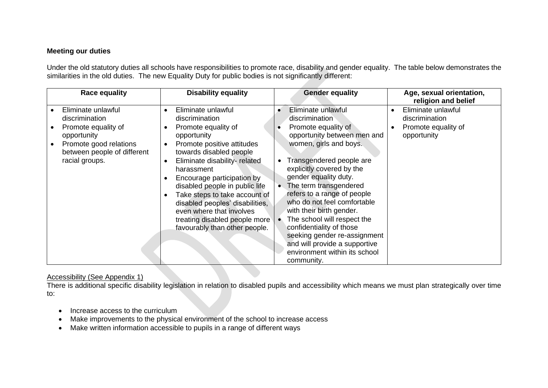#### **Meeting our duties**

Under the old statutory duties all schools have responsibilities to promote race, disability and gender equality. The table below demonstrates the similarities in the old duties. The new Equality Duty for public bodies is not significantly different:

| <b>Race equality</b>                                                                                                                                  | <b>Disability equality</b>                                                                                                                                                                                                                                                                                                                                                                                                                                              | <b>Gender equality</b>                                                                                                                                                                                                                                                                                                                                                                                                                                                                                             | Age, sexual orientation,<br>religion and belief                            |
|-------------------------------------------------------------------------------------------------------------------------------------------------------|-------------------------------------------------------------------------------------------------------------------------------------------------------------------------------------------------------------------------------------------------------------------------------------------------------------------------------------------------------------------------------------------------------------------------------------------------------------------------|--------------------------------------------------------------------------------------------------------------------------------------------------------------------------------------------------------------------------------------------------------------------------------------------------------------------------------------------------------------------------------------------------------------------------------------------------------------------------------------------------------------------|----------------------------------------------------------------------------|
| Eliminate unlawful<br>discrimination<br>Promote equality of<br>opportunity<br>Promote good relations<br>between people of different<br>racial groups. | Eliminate unlawful<br>$\bullet$<br>discrimination<br>Promote equality of<br>$\bullet$<br>opportunity<br>Promote positive attitudes<br>$\bullet$<br>towards disabled people<br>Eliminate disability-related<br>$\bullet$<br>harassment<br>Encourage participation by<br>disabled people in public life<br>Take steps to take account of<br>disabled peoples' disabilities,<br>even where that involves<br>treating disabled people more<br>favourably than other people. | Eliminate unlawful<br>discrimination<br>Promote equality of<br>opportunity between men and<br>women, girls and boys.<br>Transgendered people are<br>explicitly covered by the<br>gender equality duty.<br>The term transgendered<br>$\bullet$<br>refers to a range of people<br>who do not feel comfortable<br>with their birth gender.<br>The school will respect the<br>confidentiality of those<br>seeking gender re-assignment<br>and will provide a supportive<br>environment within its school<br>community. | Eliminate unlawful<br>discrimination<br>Promote equality of<br>opportunity |

#### Accessibility (See Appendix 1)

There is additional specific disability legislation in relation to disabled pupils and accessibility which means we must plan strategically over time to:

- Increase access to the curriculum
- Make improvements to the physical environment of the school to increase access
- Make written information accessible to pupils in a range of different ways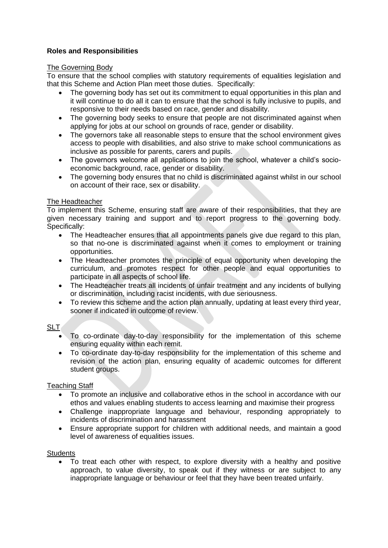#### **Roles and Responsibilities**

#### The Governing Body

To ensure that the school complies with statutory requirements of equalities legislation and that this Scheme and Action Plan meet those duties. Specifically:

- The governing body has set out its commitment to equal opportunities in this plan and it will continue to do all it can to ensure that the school is fully inclusive to pupils, and responsive to their needs based on race, gender and disability.
- The governing body seeks to ensure that people are not discriminated against when applying for jobs at our school on grounds of race, gender or disability.
- The governors take all reasonable steps to ensure that the school environment gives access to people with disabilities, and also strive to make school communications as inclusive as possible for parents, carers and pupils.
- The governors welcome all applications to join the school, whatever a child's socioeconomic background, race, gender or disability.
- The governing body ensures that no child is discriminated against whilst in our school on account of their race, sex or disability.

#### The Headteacher

To implement this Scheme, ensuring staff are aware of their responsibilities, that they are given necessary training and support and to report progress to the governing body. Specifically:

- The Headteacher ensures that all appointments panels give due regard to this plan, so that no-one is discriminated against when it comes to employment or training opportunities.
- The Headteacher promotes the principle of equal opportunity when developing the curriculum, and promotes respect for other people and equal opportunities to participate in all aspects of school life.
- The Headteacher treats all incidents of unfair treatment and any incidents of bullying or discrimination, including racist incidents, with due seriousness.
- To review this scheme and the action plan annually, updating at least every third year, sooner if indicated in outcome of review.

#### SLT

- To co-ordinate day-to-day responsibility for the implementation of this scheme ensuring equality within each remit.
- To co-ordinate day-to-day responsibility for the implementation of this scheme and revision of the action plan, ensuring equality of academic outcomes for different student groups.

#### Teaching Staff

- To promote an inclusive and collaborative ethos in the school in accordance with our ethos and values enabling students to access learning and maximise their progress
- Challenge inappropriate language and behaviour, responding appropriately to incidents of discrimination and harassment
- Ensure appropriate support for children with additional needs, and maintain a good level of awareness of equalities issues.

#### **Students**

• To treat each other with respect, to explore diversity with a healthy and positive approach, to value diversity, to speak out if they witness or are subject to any inappropriate language or behaviour or feel that they have been treated unfairly.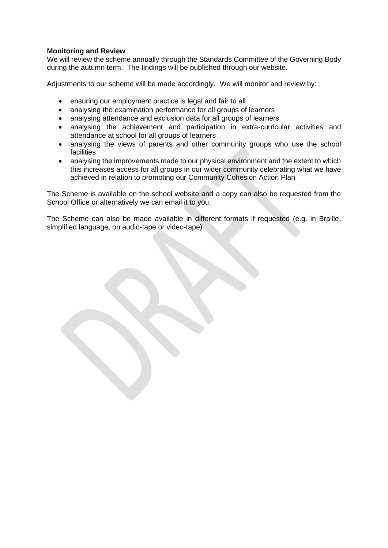#### **Monitoring and Review**

We will review the scheme annually through the Standards Committee of the Governing Body during the autumn term. The findings will be published through our website.

Adjustments to our scheme will be made accordingly. We will monitor and review by:

- ensuring our employment practice is legal and fair to all
- analysing the examination performance for all groups of learners
- analysing attendance and exclusion data for all groups of learners
- analysing the achievement and participation in extra-curricular activities and attendance at school for all groups of learners
- analysing the views of parents and other community groups who use the school **facilities**
- analysing the improvements made to our physical environment and the extent to which this increases access for all groups in our wider community celebrating what we have achieved in relation to promoting our Community Cohesion Action Plan

The Scheme is available on the school website and a copy can also be requested from the School Office or alternatively we can email it to you.

The Scheme can also be made available in different formats if requested (e.g. in Braille, simplified language, on audio-tape or video-tape).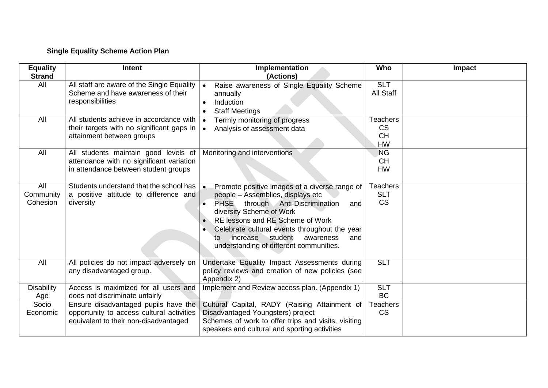### **Single Equality Scheme Action Plan**

| <b>Equality</b><br><b>Strand</b> | <b>Intent</b>                                                                                                              | Implementation<br>(Actions)                                                                                                                                                                                                                                                                                                                                                    | Who                                                    | Impact |
|----------------------------------|----------------------------------------------------------------------------------------------------------------------------|--------------------------------------------------------------------------------------------------------------------------------------------------------------------------------------------------------------------------------------------------------------------------------------------------------------------------------------------------------------------------------|--------------------------------------------------------|--------|
| All                              | All staff are aware of the Single Equality<br>Scheme and have awareness of their<br>responsibilities                       | Raise awareness of Single Equality Scheme<br>annually<br>Induction<br>$\bullet$<br><b>Staff Meetings</b>                                                                                                                                                                                                                                                                       | <b>SLT</b><br>All Staff                                |        |
| All                              | All students achieve in accordance with<br>their targets with no significant gaps in<br>attainment between groups          | Termly monitoring of progress<br>Analysis of assessment data<br>$\bullet$                                                                                                                                                                                                                                                                                                      | <b>Teachers</b><br><b>CS</b><br><b>CH</b><br><b>HW</b> |        |
| All                              | All students maintain good levels of<br>attendance with no significant variation<br>in attendance between student groups   | Monitoring and interventions                                                                                                                                                                                                                                                                                                                                                   | <b>NG</b><br><b>CH</b><br><b>HW</b>                    |        |
| All<br>Community<br>Cohesion     | Students understand that the school has<br>a positive attitude to difference and<br>diversity                              | Promote positive images of a diverse range of<br>$\bullet$<br>people - Assemblies, displays etc<br><b>PHSE</b><br>through Anti-Discrimination<br>and<br>$\bullet$<br>diversity Scheme of Work<br>RE lessons and RE Scheme of Work<br>Celebrate cultural events throughout the year<br>increase<br>student<br>awareness<br>to<br>and<br>understanding of different communities. | <b>Teachers</b><br><b>SLT</b><br><b>CS</b>             |        |
| All                              | All policies do not impact adversely on<br>any disadvantaged group.                                                        | Undertake Equality Impact Assessments during<br>policy reviews and creation of new policies (see<br>Appendix 2)                                                                                                                                                                                                                                                                | <b>SLT</b>                                             |        |
| <b>Disability</b><br>Age         | Access is maximized for all users and<br>does not discriminate unfairly                                                    | Implement and Review access plan. (Appendix 1)                                                                                                                                                                                                                                                                                                                                 | <b>SLT</b><br><b>BC</b>                                |        |
| Socio<br>Economic                | Ensure disadvantaged pupils have the<br>opportunity to access cultural activities<br>equivalent to their non-disadvantaged | Cultural Capital, RADY (Raising Attainment of<br>Disadvantaged Youngsters) project<br>Schemes of work to offer trips and visits, visiting<br>speakers and cultural and sporting activities                                                                                                                                                                                     | <b>Teachers</b><br><b>CS</b>                           |        |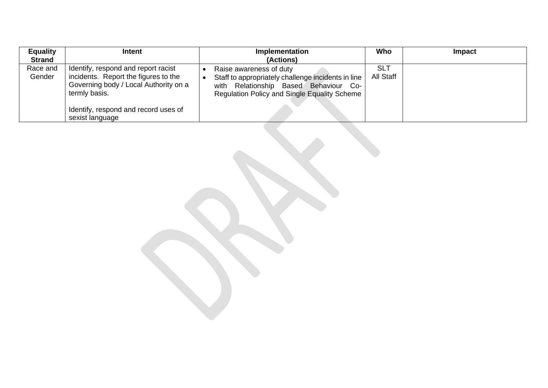| <b>Equality</b>    | <b>Intent</b>                                                                                                                                                                                    | Implementation                                                                                                                                                           | Who              | Impact |
|--------------------|--------------------------------------------------------------------------------------------------------------------------------------------------------------------------------------------------|--------------------------------------------------------------------------------------------------------------------------------------------------------------------------|------------------|--------|
| <b>Strand</b>      |                                                                                                                                                                                                  | (Actions)                                                                                                                                                                |                  |        |
| Race and<br>Gender | Identify, respond and report racist<br>incidents. Report the figures to the<br>Governing body / Local Authority on a<br>termly basis.<br>Identify, respond and record uses of<br>sexist language | Raise awareness of duty<br>Staff to appropriately challenge incidents in line  <br>with Relationship Based Behaviour Co-<br>Regulation Policy and Single Equality Scheme | SLT<br>All Staff |        |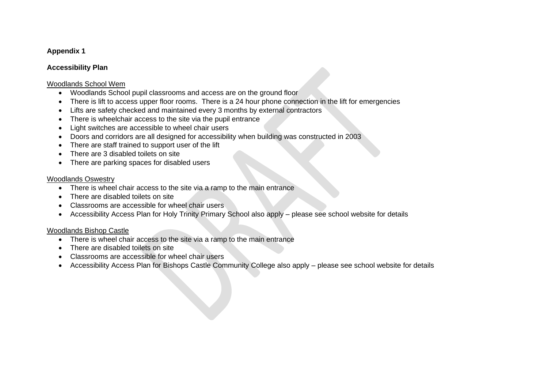#### **Appendix 1**

#### **Accessibility Plan**

#### Woodlands School Wem

- Woodlands School pupil classrooms and access are on the ground floor
- There is lift to access upper floor rooms. There is a 24 hour phone connection in the lift for emergencies
- Lifts are safety checked and maintained every 3 months by external contractors
- There is wheelchair access to the site via the pupil entrance
- Light switches are accessible to wheel chair users
- Doors and corridors are all designed for accessibility when building was constructed in 2003
- There are staff trained to support user of the lift
- There are 3 disabled toilets on site
- There are parking spaces for disabled users

#### Woodlands Oswestry

- There is wheel chair access to the site via a ramp to the main entrance
- There are disabled toilets on site
- Classrooms are accessible for wheel chair users
- Accessibility Access Plan for Holy Trinity Primary School also apply please see school website for details

#### Woodlands Bishop Castle

- There is wheel chair access to the site via a ramp to the main entrance
- There are disabled toilets on site
- Classrooms are accessible for wheel chair users
- Accessibility Access Plan for Bishops Castle Community College also apply please see school website for details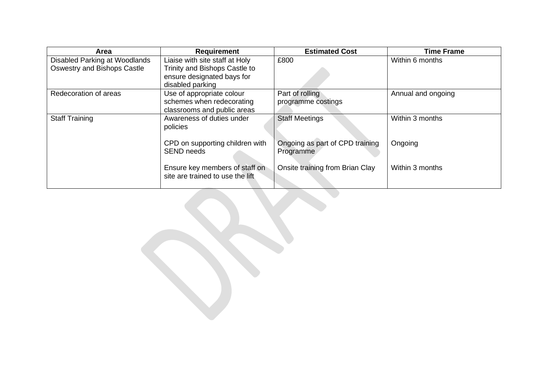| Area                               | <b>Requirement</b>                                                 | <b>Estimated Cost</b>           | <b>Time Frame</b>  |
|------------------------------------|--------------------------------------------------------------------|---------------------------------|--------------------|
| Disabled Parking at Woodlands      | Liaise with site staff at Holy                                     | £800                            | Within 6 months    |
| <b>Oswestry and Bishops Castle</b> | Trinity and Bishops Castle to                                      |                                 |                    |
|                                    | ensure designated bays for                                         |                                 |                    |
|                                    | disabled parking                                                   |                                 |                    |
| Redecoration of areas              | Use of appropriate colour                                          | Part of rolling                 | Annual and ongoing |
|                                    | schemes when redecorating                                          | programme costings              |                    |
|                                    | classrooms and public areas                                        |                                 |                    |
| <b>Staff Training</b>              | Awareness of duties under                                          | <b>Staff Meetings</b>           | Within 3 months    |
|                                    | policies                                                           |                                 |                    |
|                                    |                                                                    |                                 |                    |
|                                    | CPD on supporting children with                                    | Ongoing as part of CPD training | Ongoing            |
|                                    | <b>SEND needs</b>                                                  | Programme                       |                    |
|                                    |                                                                    |                                 |                    |
|                                    | Ensure key members of staff on<br>site are trained to use the lift | Onsite training from Brian Clay | Within 3 months    |
|                                    |                                                                    |                                 |                    |
|                                    |                                                                    |                                 |                    |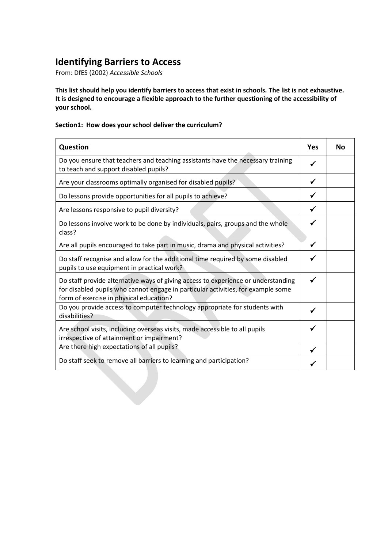## **Identifying Barriers to Access**

From: DfES (2002) *Accessible Schools*

**This list should help you identify barriers to access that exist in schools. The list is not exhaustive. It is designed to encourage a flexible approach to the further questioning of the accessibility of your school.**

#### **Section1: How does your school deliver the curriculum?**

| Question                                                                                                                                                                                                         | Yes          | No |
|------------------------------------------------------------------------------------------------------------------------------------------------------------------------------------------------------------------|--------------|----|
| Do you ensure that teachers and teaching assistants have the necessary training<br>to teach and support disabled pupils?                                                                                         | ✓            |    |
| Are your classrooms optimally organised for disabled pupils?                                                                                                                                                     | $\checkmark$ |    |
| Do lessons provide opportunities for all pupils to achieve?                                                                                                                                                      | ✓            |    |
| Are lessons responsive to pupil diversity?                                                                                                                                                                       | ✓            |    |
| Do lessons involve work to be done by individuals, pairs, groups and the whole<br>class?                                                                                                                         |              |    |
| Are all pupils encouraged to take part in music, drama and physical activities?                                                                                                                                  | ✓            |    |
| Do staff recognise and allow for the additional time required by some disabled<br>pupils to use equipment in practical work?                                                                                     |              |    |
| Do staff provide alternative ways of giving access to experience or understanding<br>for disabled pupils who cannot engage in particular activities, for example some<br>form of exercise in physical education? | ✓            |    |
| Do you provide access to computer technology appropriate for students with<br>disabilities?                                                                                                                      |              |    |
| Are school visits, including overseas visits, made accessible to all pupils<br>irrespective of attainment or impairment?                                                                                         | ✔            |    |
| Are there high expectations of all pupils?                                                                                                                                                                       |              |    |
| Do staff seek to remove all barriers to learning and participation?                                                                                                                                              |              |    |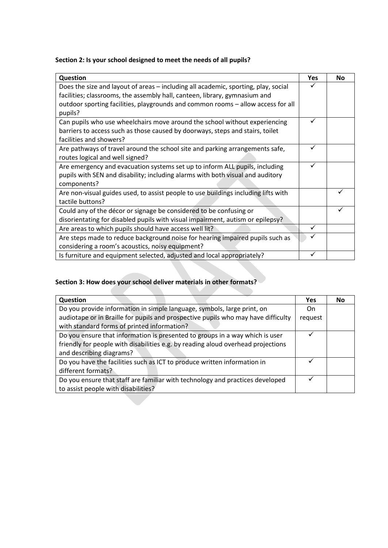#### **Section 2: Is your school designed to meet the needs of all pupils?**

| Question                                                                                    | Yes | <b>No</b> |
|---------------------------------------------------------------------------------------------|-----|-----------|
| Does the size and layout of areas - including all academic, sporting, play, social          |     |           |
| facilities; classrooms, the assembly hall, canteen, library, gymnasium and                  |     |           |
| outdoor sporting facilities, playgrounds and common rooms - allow access for all<br>pupils? |     |           |
| Can pupils who use wheelchairs move around the school without experiencing                  | ✓   |           |
| barriers to access such as those caused by doorways, steps and stairs, toilet               |     |           |
| facilities and showers?                                                                     |     |           |
| Are pathways of travel around the school site and parking arrangements safe,                | ✓   |           |
| routes logical and well signed?                                                             |     |           |
| Are emergency and evacuation systems set up to inform ALL pupils, including                 | ✓   |           |
| pupils with SEN and disability; including alarms with both visual and auditory              |     |           |
| components?                                                                                 |     |           |
| Are non-visual guides used, to assist people to use buildings including lifts with          |     |           |
| tactile buttons?                                                                            |     |           |
| Could any of the décor or signage be considered to be confusing or                          |     |           |
| disorientating for disabled pupils with visual impairment, autism or epilepsy?              |     |           |
| Are areas to which pupils should have access well lit?                                      | ✓   |           |
| Are steps made to reduce background noise for hearing impaired pupils such as               | ✓   |           |
| considering a room's acoustics, noisy equipment?                                            |     |           |
| Is furniture and equipment selected, adjusted and local appropriately?                      | ✓   |           |

#### **Section 3: How does your school deliver materials in other formats?**

| Question                                                                          | Yes     | No |
|-----------------------------------------------------------------------------------|---------|----|
| Do you provide information in simple language, symbols, large print, on           | On.     |    |
| audiotape or in Braille for pupils and prospective pupils who may have difficulty | request |    |
| with standard forms of printed information?                                       |         |    |
| Do you ensure that information is presented to groups in a way which is user      |         |    |
| friendly for people with disabilities e.g. by reading aloud overhead projections  |         |    |
| and describing diagrams?                                                          |         |    |
| Do you have the facilities such as ICT to produce written information in          |         |    |
| different formats?                                                                |         |    |
| Do you ensure that staff are familiar with technology and practices developed     |         |    |
| to assist people with disabilities?                                               |         |    |
|                                                                                   |         |    |